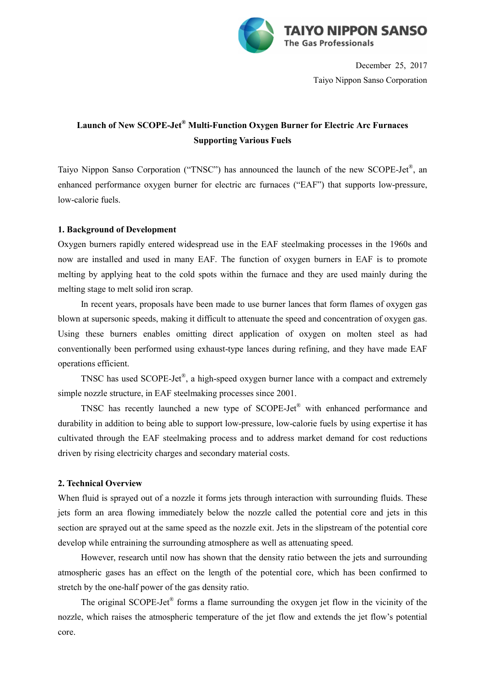

December 25, 2017 Taiyo Nippon Sanso Corporation

# **Launch of New SCOPE-Jet ® Multi-Function Oxygen Burner for Electric Arc Furnaces Supporting Various Fuels**

Taiyo Nippon Sanso Corporation ("TNSC") has announced the launch of the new SCOPE-Jet<sup>®</sup>, an enhanced performance oxygen burner for electric arc furnaces ("EAF") that supports low-pressure, low-calorie fuels.

#### **1. Background of Development**

Oxygen burners rapidly entered widespread use in the EAF steelmaking processes in the 1960s and now are installed and used in many EAF. The function of oxygen burners in EAF is to promote melting by applying heat to the cold spots within the furnace and they are used mainly during the melting stage to melt solid iron scrap.

In recent years, proposals have been made to use burner lances that form flames of oxygen gas blown at supersonic speeds, making it difficult to attenuate the speed and concentration of oxygen gas. Using these burners enables omitting direct application of oxygen on molten steel as had conventionally been performed using exhaust-type lances during refining, and they have made EAF operations efficient.

TNSC has used SCOPE-Jet®, a high-speed oxygen burner lance with a compact and extremely simple nozzle structure, in EAF steelmaking processes since 2001.

TNSC has recently launched a new type of SCOPE-Jet® with enhanced performance and durability in addition to being able to support low-pressure, low-calorie fuels by using expertise it has cultivated through the EAF steelmaking process and to address market demand for cost reductions driven by rising electricity charges and secondary material costs.

#### **2. Technical Overview**

When fluid is sprayed out of a nozzle it forms jets through interaction with surrounding fluids. These jets form an area flowing immediately below the nozzle called the potential core and jets in this section are sprayed out at the same speed as the nozzle exit. Jets in the slipstream of the potential core develop while entraining the surrounding atmosphere as well as attenuating speed.

However, research until now has shown that the density ratio between the jets and surrounding atmospheric gases has an effect on the length of the potential core, which has been confirmed to stretch by the one-half power of the gas density ratio.

The original SCOPE-Jet $^{\circ}$  forms a flame surrounding the oxygen jet flow in the vicinity of the nozzle, which raises the atmospheric temperature of the jet flow and extends the jet flow's potential core.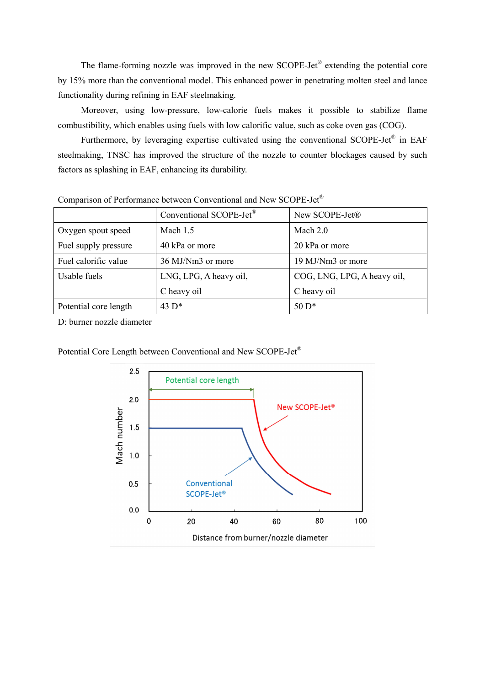The flame-forming nozzle was improved in the new SCOPE-Jet® extending the potential core by 15% more than the conventional model. This enhanced power in penetrating molten steel and lance functionality during refining in EAF steelmaking.

Moreover, using low-pressure, low-calorie fuels makes it possible to stabilize flame combustibility, which enables using fuels with low calorific value, such as coke oven gas (COG).

Furthermore, by leveraging expertise cultivated using the conventional SCOPE-Jet® in EAF steelmaking, TNSC has improved the structure of the nozzle to counter blockages caused by such factors as splashing in EAF, enhancing its durability.

|                       | Conventional SCOPE-Jet® | New SCOPE-Jet®              |
|-----------------------|-------------------------|-----------------------------|
| Oxygen spout speed    | Mach 1.5                | Mach $2.0$                  |
| Fuel supply pressure  | 40 kPa or more          | 20 kPa or more              |
| Fuel calorific value  | 36 MJ/Nm3 or more       | 19 MJ/Nm3 or more           |
| Usable fuels          | LNG, LPG, A heavy oil,  | COG, LNG, LPG, A heavy oil, |
|                       | C heavy oil             | C heavy oil                 |
| Potential core length | $43\,\mathrm{D}^*$      | $50\,\mathrm{D}^*$          |

Comparison of Performance between Conventional and New SCOPE-Jet®

D: burner nozzle diameter

Potential Core Length between Conventional and New SCOPE-Jet®